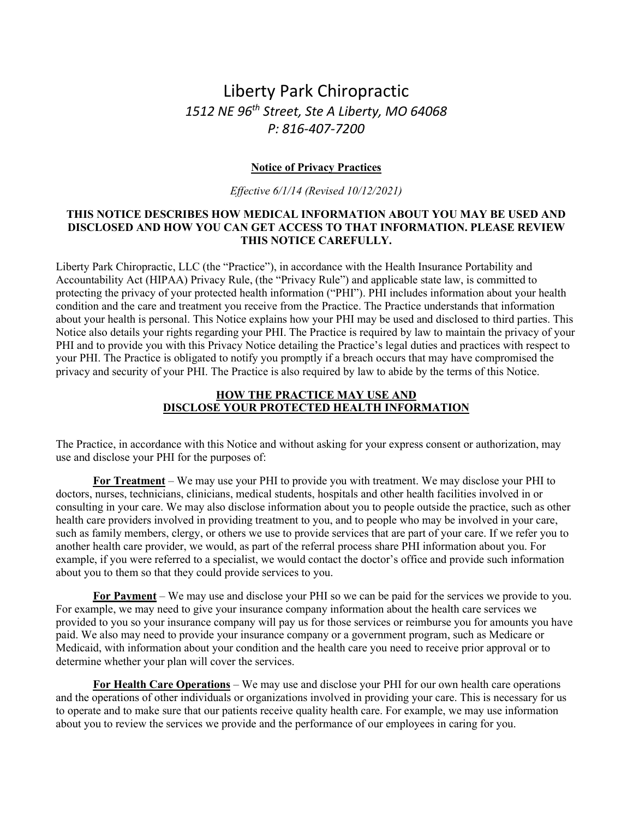# Liberty Park Chiropractic *1512 NE 96th Street, Ste A Liberty, MO 64068 P: 816-407-7200*

## **Notice of Privacy Practices**

*Effective 6/1/14 (Revised 10/12/2021)*

#### **THIS NOTICE DESCRIBES HOW MEDICAL INFORMATION ABOUT YOU MAY BE USED AND DISCLOSED AND HOW YOU CAN GET ACCESS TO THAT INFORMATION. PLEASE REVIEW THIS NOTICE CAREFULLY.**

Liberty Park Chiropractic, LLC (the "Practice"), in accordance with the Health Insurance Portability and Accountability Act (HIPAA) Privacy Rule, (the "Privacy Rule") and applicable state law, is committed to protecting the privacy of your protected health information ("PHI"). PHI includes information about your health condition and the care and treatment you receive from the Practice. The Practice understands that information about your health is personal. This Notice explains how your PHI may be used and disclosed to third parties. This Notice also details your rights regarding your PHI. The Practice is required by law to maintain the privacy of your PHI and to provide you with this Privacy Notice detailing the Practice's legal duties and practices with respect to your PHI. The Practice is obligated to notify you promptly if a breach occurs that may have compromised the privacy and security of your PHI. The Practice is also required by law to abide by the terms of this Notice.

## **HOW THE PRACTICE MAY USE AND DISCLOSE YOUR PROTECTED HEALTH INFORMATION**

The Practice, in accordance with this Notice and without asking for your express consent or authorization, may use and disclose your PHI for the purposes of:

**For Treatment** – We may use your PHI to provide you with treatment. We may disclose your PHI to doctors, nurses, technicians, clinicians, medical students, hospitals and other health facilities involved in or consulting in your care. We may also disclose information about you to people outside the practice, such as other health care providers involved in providing treatment to you, and to people who may be involved in your care, such as family members, clergy, or others we use to provide services that are part of your care. If we refer you to another health care provider, we would, as part of the referral process share PHI information about you. For example, if you were referred to a specialist, we would contact the doctor's office and provide such information about you to them so that they could provide services to you.

**For Payment** – We may use and disclose your PHI so we can be paid for the services we provide to you. For example, we may need to give your insurance company information about the health care services we provided to you so your insurance company will pay us for those services or reimburse you for amounts you have paid. We also may need to provide your insurance company or a government program, such as Medicare or Medicaid, with information about your condition and the health care you need to receive prior approval or to determine whether your plan will cover the services.

**For Health Care Operations** – We may use and disclose your PHI for our own health care operations and the operations of other individuals or organizations involved in providing your care. This is necessary for us to operate and to make sure that our patients receive quality health care. For example, we may use information about you to review the services we provide and the performance of our employees in caring for you.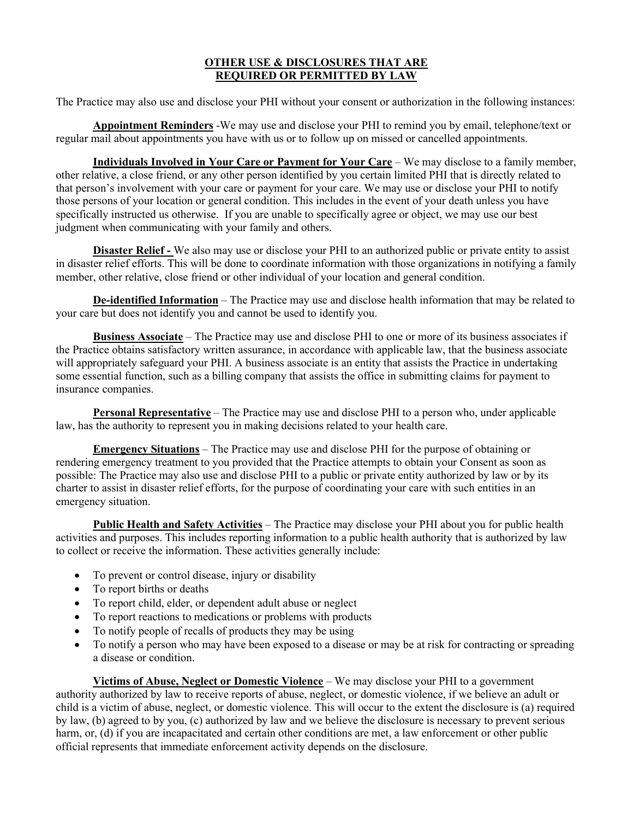## **OTHER USE & DISCLOSURES THAT ARE REQUIRED OR PERMITTED BY LAW**

The Practice may also use and disclose your PHI without your consent or authorization in the following instances:

**Appointment Reminders** -We may use and disclose your PHI to remind you by email, telephone/text or regular mail about appointments you have with us or to follow up on missed or cancelled appointments.

**Individuals Involved in Your Care or Payment for Your Care** – We may disclose to a family member, other relative, a close friend, or any other person identified by you certain limited PHI that is directly related to that person's involvement with your care or payment for your care. We may use or disclose your PHI to notify those persons of your location or general condition. This includes in the event of your death unless you have specifically instructed us otherwise. If you are unable to specifically agree or object, we may use our best judgment when communicating with your family and others.

**Disaster Relief -** We also may use or disclose your PHI to an authorized public or private entity to assist in disaster relief efforts. This will be done to coordinate information with those organizations in notifying a family member, other relative, close friend or other individual of your location and general condition.

**De-identified Information** – The Practice may use and disclose health information that may be related to your care but does not identify you and cannot be used to identify you.

**Business Associate** – The Practice may use and disclose PHI to one or more of its business associates if the Practice obtains satisfactory written assurance, in accordance with applicable law, that the business associate will appropriately safeguard your PHI. A business associate is an entity that assists the Practice in undertaking some essential function, such as a billing company that assists the office in submitting claims for payment to insurance companies.

**Personal Representative** – The Practice may use and disclose PHI to a person who, under applicable law, has the authority to represent you in making decisions related to your health care.

**Emergency Situations** – The Practice may use and disclose PHI for the purpose of obtaining or rendering emergency treatment to you provided that the Practice attempts to obtain your Consent as soon as possible: The Practice may also use and disclose PHI to a public or private entity authorized by law or by its charter to assist in disaster relief efforts, for the purpose of coordinating your care with such entities in an emergency situation.

**Public Health and Safety Activities** – The Practice may disclose your PHI about you for public health activities and purposes. This includes reporting information to a public health authority that is authorized by law to collect or receive the information. These activities generally include:

- To prevent or control disease, injury or disability
- To report births or deaths
- To report child, elder, or dependent adult abuse or neglect
- To report reactions to medications or problems with products
- To notify people of recalls of products they may be using
- To notify a person who may have been exposed to a disease or may be at risk for contracting or spreading a disease or condition.

**Victims of Abuse, Neglect or Domestic Violence** – We may disclose your PHI to a government authority authorized by law to receive reports of abuse, neglect, or domestic violence, if we believe an adult or child is a victim of abuse, neglect, or domestic violence. This will occur to the extent the disclosure is (a) required by law, (b) agreed to by you, (c) authorized by law and we believe the disclosure is necessary to prevent serious harm, or, (d) if you are incapacitated and certain other conditions are met, a law enforcement or other public official represents that immediate enforcement activity depends on the disclosure.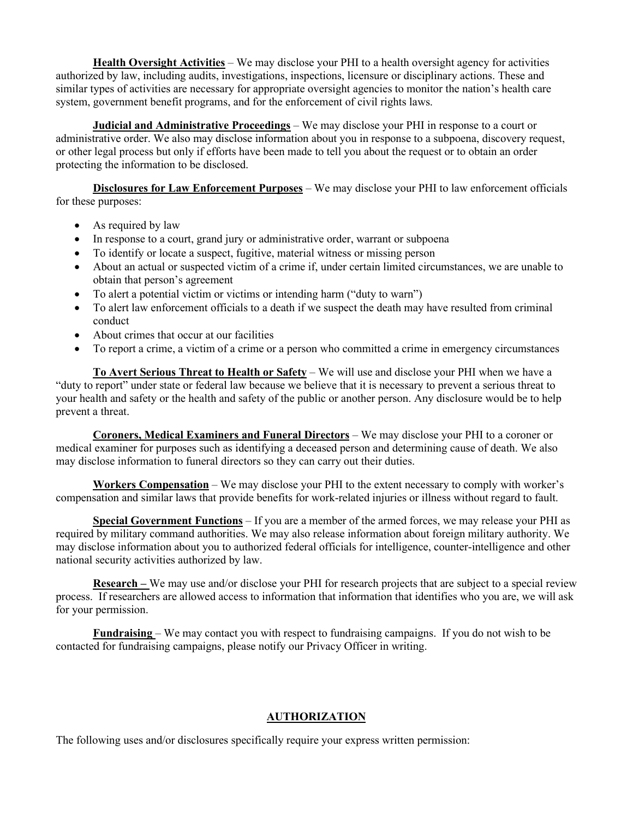**Health Oversight Activities** – We may disclose your PHI to a health oversight agency for activities authorized by law, including audits, investigations, inspections, licensure or disciplinary actions. These and similar types of activities are necessary for appropriate oversight agencies to monitor the nation's health care system, government benefit programs, and for the enforcement of civil rights laws.

**Judicial and Administrative Proceedings** – We may disclose your PHI in response to a court or administrative order. We also may disclose information about you in response to a subpoena, discovery request, or other legal process but only if efforts have been made to tell you about the request or to obtain an order protecting the information to be disclosed.

**Disclosures for Law Enforcement Purposes** – We may disclose your PHI to law enforcement officials for these purposes:

- As required by law
- In response to a court, grand jury or administrative order, warrant or subpoena
- To identify or locate a suspect, fugitive, material witness or missing person
- About an actual or suspected victim of a crime if, under certain limited circumstances, we are unable to obtain that person's agreement
- To alert a potential victim or victims or intending harm ("duty to warn")
- To alert law enforcement officials to a death if we suspect the death may have resulted from criminal conduct
- About crimes that occur at our facilities
- To report a crime, a victim of a crime or a person who committed a crime in emergency circumstances

**To Avert Serious Threat to Health or Safety** – We will use and disclose your PHI when we have a "duty to report" under state or federal law because we believe that it is necessary to prevent a serious threat to your health and safety or the health and safety of the public or another person. Any disclosure would be to help prevent a threat.

**Coroners, Medical Examiners and Funeral Directors** – We may disclose your PHI to a coroner or medical examiner for purposes such as identifying a deceased person and determining cause of death. We also may disclose information to funeral directors so they can carry out their duties.

**Workers Compensation** – We may disclose your PHI to the extent necessary to comply with worker's compensation and similar laws that provide benefits for work-related injuries or illness without regard to fault.

**Special Government Functions** – If you are a member of the armed forces, we may release your PHI as required by military command authorities. We may also release information about foreign military authority. We may disclose information about you to authorized federal officials for intelligence, counter-intelligence and other national security activities authorized by law.

**Research –** We may use and/or disclose your PHI for research projects that are subject to a special review process. If researchers are allowed access to information that information that identifies who you are, we will ask for your permission.

**Fundraising** – We may contact you with respect to fundraising campaigns. If you do not wish to be contacted for fundraising campaigns, please notify our Privacy Officer in writing.

# **AUTHORIZATION**

The following uses and/or disclosures specifically require your express written permission: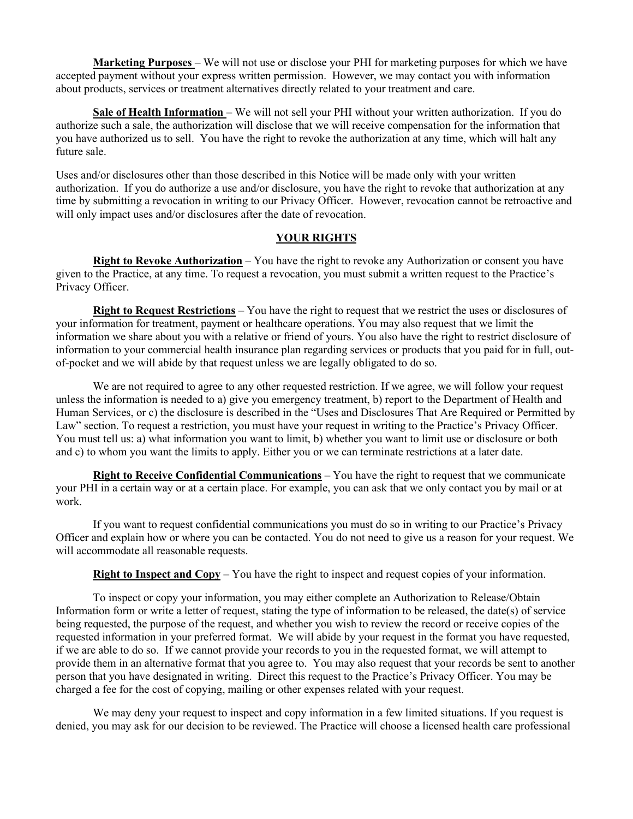**Marketing Purposes** – We will not use or disclose your PHI for marketing purposes for which we have accepted payment without your express written permission. However, we may contact you with information about products, services or treatment alternatives directly related to your treatment and care.

**Sale of Health Information** – We will not sell your PHI without your written authorization. If you do authorize such a sale, the authorization will disclose that we will receive compensation for the information that you have authorized us to sell. You have the right to revoke the authorization at any time, which will halt any future sale.

Uses and/or disclosures other than those described in this Notice will be made only with your written authorization. If you do authorize a use and/or disclosure, you have the right to revoke that authorization at any time by submitting a revocation in writing to our Privacy Officer. However, revocation cannot be retroactive and will only impact uses and/or disclosures after the date of revocation.

#### **YOUR RIGHTS**

**Right to Revoke Authorization** – You have the right to revoke any Authorization or consent you have given to the Practice, at any time. To request a revocation, you must submit a written request to the Practice's Privacy Officer.

**Right to Request Restrictions** – You have the right to request that we restrict the uses or disclosures of your information for treatment, payment or healthcare operations. You may also request that we limit the information we share about you with a relative or friend of yours. You also have the right to restrict disclosure of information to your commercial health insurance plan regarding services or products that you paid for in full, outof-pocket and we will abide by that request unless we are legally obligated to do so.

We are not required to agree to any other requested restriction. If we agree, we will follow your request unless the information is needed to a) give you emergency treatment, b) report to the Department of Health and Human Services, or c) the disclosure is described in the "Uses and Disclosures That Are Required or Permitted by Law" section. To request a restriction, you must have your request in writing to the Practice's Privacy Officer. You must tell us: a) what information you want to limit, b) whether you want to limit use or disclosure or both and c) to whom you want the limits to apply. Either you or we can terminate restrictions at a later date.

**Right to Receive Confidential Communications** – You have the right to request that we communicate your PHI in a certain way or at a certain place. For example, you can ask that we only contact you by mail or at work.

If you want to request confidential communications you must do so in writing to our Practice's Privacy Officer and explain how or where you can be contacted. You do not need to give us a reason for your request. We will accommodate all reasonable requests.

**Right to Inspect and Copy** – You have the right to inspect and request copies of your information.

To inspect or copy your information, you may either complete an Authorization to Release/Obtain Information form or write a letter of request, stating the type of information to be released, the date(s) of service being requested, the purpose of the request, and whether you wish to review the record or receive copies of the requested information in your preferred format. We will abide by your request in the format you have requested, if we are able to do so. If we cannot provide your records to you in the requested format, we will attempt to provide them in an alternative format that you agree to. You may also request that your records be sent to another person that you have designated in writing. Direct this request to the Practice's Privacy Officer. You may be charged a fee for the cost of copying, mailing or other expenses related with your request.

We may deny your request to inspect and copy information in a few limited situations. If you request is denied, you may ask for our decision to be reviewed. The Practice will choose a licensed health care professional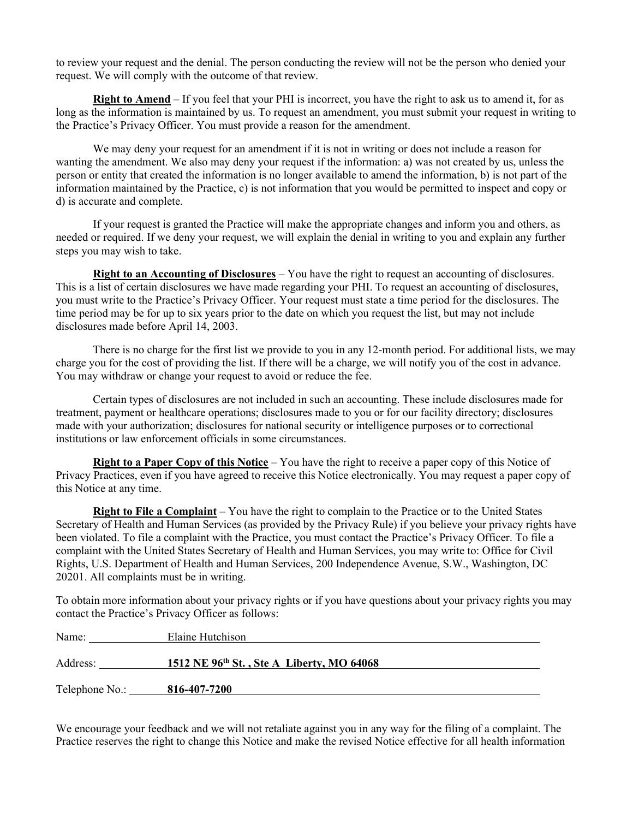to review your request and the denial. The person conducting the review will not be the person who denied your request. We will comply with the outcome of that review.

**Right to Amend** – If you feel that your PHI is incorrect, you have the right to ask us to amend it, for as long as the information is maintained by us. To request an amendment, you must submit your request in writing to the Practice's Privacy Officer. You must provide a reason for the amendment.

We may deny your request for an amendment if it is not in writing or does not include a reason for wanting the amendment. We also may deny your request if the information: a) was not created by us, unless the person or entity that created the information is no longer available to amend the information, b) is not part of the information maintained by the Practice, c) is not information that you would be permitted to inspect and copy or d) is accurate and complete.

If your request is granted the Practice will make the appropriate changes and inform you and others, as needed or required. If we deny your request, we will explain the denial in writing to you and explain any further steps you may wish to take.

**Right to an Accounting of Disclosures** – You have the right to request an accounting of disclosures. This is a list of certain disclosures we have made regarding your PHI. To request an accounting of disclosures, you must write to the Practice's Privacy Officer. Your request must state a time period for the disclosures. The time period may be for up to six years prior to the date on which you request the list, but may not include disclosures made before April 14, 2003.

There is no charge for the first list we provide to you in any 12-month period. For additional lists, we may charge you for the cost of providing the list. If there will be a charge, we will notify you of the cost in advance. You may withdraw or change your request to avoid or reduce the fee.

Certain types of disclosures are not included in such an accounting. These include disclosures made for treatment, payment or healthcare operations; disclosures made to you or for our facility directory; disclosures made with your authorization; disclosures for national security or intelligence purposes or to correctional institutions or law enforcement officials in some circumstances.

**Right to a Paper Copy of this Notice** – You have the right to receive a paper copy of this Notice of Privacy Practices, even if you have agreed to receive this Notice electronically. You may request a paper copy of this Notice at any time.

**Right to File a Complaint** – You have the right to complain to the Practice or to the United States Secretary of Health and Human Services (as provided by the Privacy Rule) if you believe your privacy rights have been violated. To file a complaint with the Practice, you must contact the Practice's Privacy Officer. To file a complaint with the United States Secretary of Health and Human Services, you may write to: Office for Civil Rights, U.S. Department of Health and Human Services, 200 Independence Avenue, S.W., Washington, DC 20201. All complaints must be in writing.

To obtain more information about your privacy rights or if you have questions about your privacy rights you may contact the Practice's Privacy Officer as follows:

| Name:          | Elaine Hutchison                          |
|----------------|-------------------------------------------|
| Address:       | 1512 NE 96th St., Ste A Liberty, MO 64068 |
| Telephone No.: | 816-407-7200                              |

We encourage your feedback and we will not retaliate against you in any way for the filing of a complaint. The Practice reserves the right to change this Notice and make the revised Notice effective for all health information